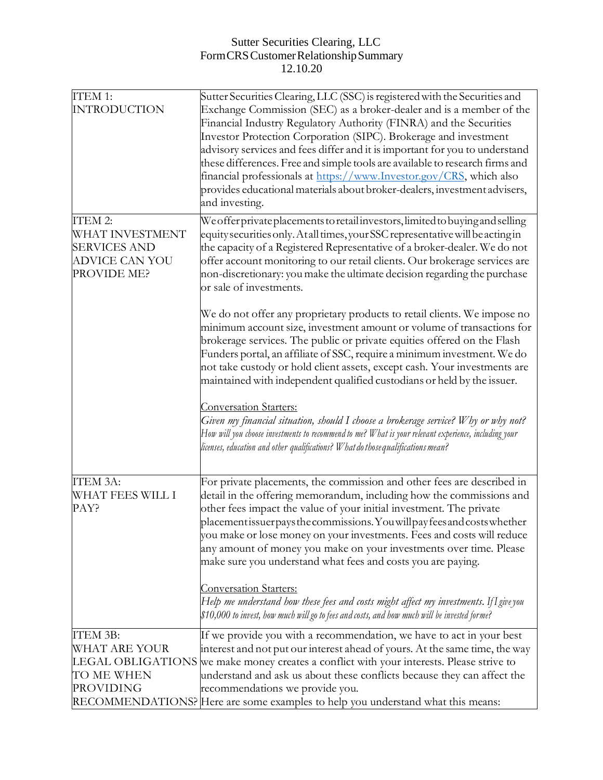## Sutter Securities Clearing, LLC Form CRS Customer Relationship Summary 12.10.20

| ITEM 1:<br><b>INTRODUCTION</b>                                                            | Sutter Securities Clearing, LLC (SSC) is registered with the Securities and<br>Exchange Commission (SEC) as a broker-dealer and is a member of the<br>Financial Industry Regulatory Authority (FINRA) and the Securities<br>Investor Protection Corporation (SIPC). Brokerage and investment<br>advisory services and fees differ and it is important for you to understand<br>these differences. Free and simple tools are available to research firms and<br>financial professionals at https://www.Investor.gov/CRS, which also<br>provides educational materials about broker-dealers, investment advisers,<br>and investing. |
|-------------------------------------------------------------------------------------------|-----------------------------------------------------------------------------------------------------------------------------------------------------------------------------------------------------------------------------------------------------------------------------------------------------------------------------------------------------------------------------------------------------------------------------------------------------------------------------------------------------------------------------------------------------------------------------------------------------------------------------------|
| ITEM 2:<br>WHAT INVESTMENT<br><b>SERVICES AND</b><br><b>ADVICE CAN YOU</b><br>PROVIDE ME? | We offer private placements to retail investors, limited to buying and selling<br>equity securities only. At all times, your SSC representative will be acting in<br>the capacity of a Registered Representative of a broker-dealer. We do not<br>offer account monitoring to our retail clients. Our brokerage services are<br>non-discretionary: you make the ultimate decision regarding the purchase<br>or sale of investments.                                                                                                                                                                                               |
|                                                                                           | We do not offer any proprietary products to retail clients. We impose no<br>minimum account size, investment amount or volume of transactions for<br>brokerage services. The public or private equities offered on the Flash<br>Funders portal, an affiliate of SSC, require a minimum investment. We do<br>not take custody or hold client assets, except cash. Your investments are<br>maintained with independent qualified custodians or held by the issuer.                                                                                                                                                                  |
|                                                                                           | Conversation Starters:<br>Given my financial situation, should I choose a brokerage service? Why or why not?<br>How will you choose investments to recommend to me? What is your relevant experience, including your<br>licenses, education and other qualifications? W hat do those qualifications mean?                                                                                                                                                                                                                                                                                                                         |
| ITEM 3A:<br>WHAT FEES WILL I<br>PAY?                                                      | For private placements, the commission and other fees are described in<br>detail in the offering memorandum, including how the commissions and<br>other fees impact the value of your initial investment. The private<br>placement issuer pays the commissions. You will pay fees and costs whether<br>you make or lose money on your investments. Fees and costs will reduce<br>any amount of money you make on your investments over time. Please<br>make sure you understand what fees and costs you are paying.                                                                                                               |
|                                                                                           | Conversation Starters:<br>Help me understand how these fees and costs might affect my investments. If I give you<br>\$10,000 to invest, how much will go to fees and costs, and how much will be invested forme?                                                                                                                                                                                                                                                                                                                                                                                                                  |
| ITEM 3B:<br>WHAT ARE YOUR<br>TO ME WHEN<br>PROVIDING                                      | If we provide you with a recommendation, we have to act in your best<br>interest and not put our interest ahead of yours. At the same time, the way<br>LEGAL OBLIGATIONS we make money creates a conflict with your interests. Please strive to<br>understand and ask us about these conflicts because they can affect the<br>recommendations we provide you.<br>RECOMMENDATIONS? Here are some examples to help you understand what this means:                                                                                                                                                                                  |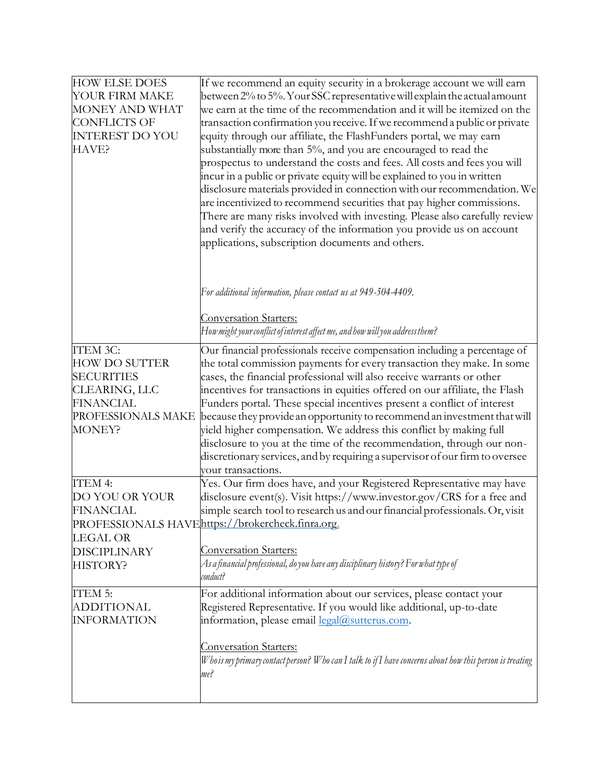| <b>HOW ELSE DOES</b><br>YOUR FIRM MAKE<br>MONEY AND WHAT<br><b>CONFLICTS OF</b><br><b>INTEREST DO YOU</b><br>HAVE?                | If we recommend an equity security in a brokerage account we will earn<br>between 2% to 5%. Your SSC representative will explain the actual amount<br>we earn at the time of the recommendation and it will be itemized on the<br>transaction confirmation you receive. If we recommend a public or private<br>equity through our affiliate, the FlashFunders portal, we may earn<br>substantially more than 5%, and you are encouraged to read the<br>prospectus to understand the costs and fees. All costs and fees you will<br>incur in a public or private equity will be explained to you in written<br>disclosure materials provided in connection with our recommendation. We<br>are incentivized to recommend securities that pay higher commissions.<br>There are many risks involved with investing. Please also carefully review<br>and verify the accuracy of the information you provide us on account<br>applications, subscription documents and others. |
|-----------------------------------------------------------------------------------------------------------------------------------|--------------------------------------------------------------------------------------------------------------------------------------------------------------------------------------------------------------------------------------------------------------------------------------------------------------------------------------------------------------------------------------------------------------------------------------------------------------------------------------------------------------------------------------------------------------------------------------------------------------------------------------------------------------------------------------------------------------------------------------------------------------------------------------------------------------------------------------------------------------------------------------------------------------------------------------------------------------------------|
|                                                                                                                                   | For additional information, please contact us at 949-504-4409.<br>Conversation Starters:<br>How might your conflict of interest affect me, and how will you address them?                                                                                                                                                                                                                                                                                                                                                                                                                                                                                                                                                                                                                                                                                                                                                                                                |
| ITEM 3C:<br><b>HOW DO SUTTER</b><br><b>SECURITIES</b><br>CLEARING, LLC<br><b>FINANCIAL</b><br>PROFESSIONALS MAKE<br><b>MONEY?</b> | Our financial professionals receive compensation including a percentage of<br>the total commission payments for every transaction they make. In some<br>cases, the financial professional will also receive warrants or other<br>incentives for transactions in equities offered on our affiliate, the Flash<br>Funders portal. These special incentives present a conflict of interest<br>because they provide an opportunity to recommend an investment that will<br>yield higher compensation. We address this conflict by making full<br>disclosure to you at the time of the recommendation, through our non-<br>discretionary services, and by requiring a supervisor of our firm to oversee<br>your transactions.                                                                                                                                                                                                                                                 |
| ITEM 4:<br>DO YOU OR YOUR<br><b>FINANCIAL</b><br><b>LEGAL OR</b><br><b>DISCIPLINARY</b><br>HISTORY?                               | Yes. Our firm does have, and your Registered Representative may have<br>disclosure event(s). Visit https://www.investor.gov/CRS for a free and<br>simple search tool to research us and our financial professionals. Or, visit<br>PROFESSIONALS HAVEhttps://brokercheck.finra.org.<br>Conversation Starters:<br>As a financial professional, do you have any disciplinary history? For what type of<br>conduct?                                                                                                                                                                                                                                                                                                                                                                                                                                                                                                                                                          |
| ITEM 5:<br>ADDITIONAL<br><b>INFORMATION</b>                                                                                       | For additional information about our services, please contact your<br>Registered Representative. If you would like additional, up-to-date<br>information, please email legal@sutterus.com.<br>Conversation Starters:<br>$W$ hois my primary contact person? $W$ ho can I talk to if I have concerns about how this person is treating<br>me?                                                                                                                                                                                                                                                                                                                                                                                                                                                                                                                                                                                                                             |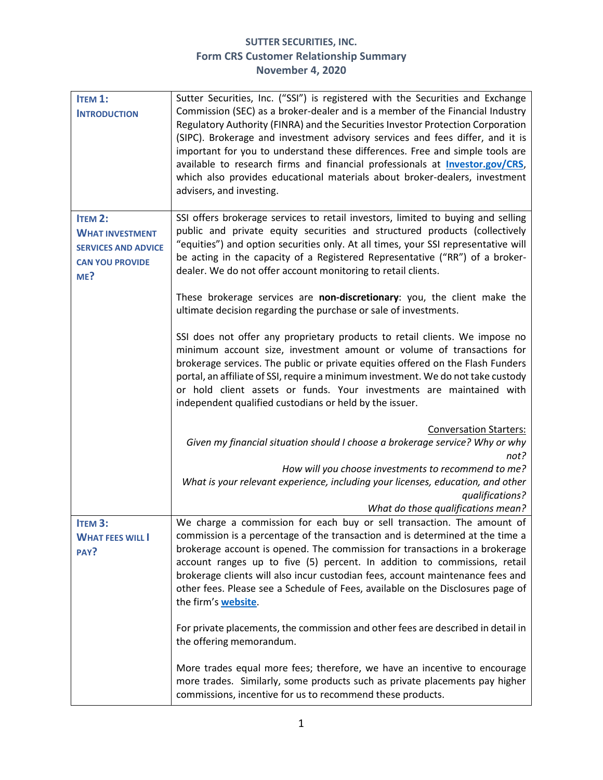## **SUTTER SECURITIES, INC. Form CRS Customer Relationship Summary November 4, 2020**

| <b>ITEM 1:</b><br><b>INTRODUCTION</b>                                                                   | Sutter Securities, Inc. ("SSI") is registered with the Securities and Exchange<br>Commission (SEC) as a broker-dealer and is a member of the Financial Industry<br>Regulatory Authority (FINRA) and the Securities Investor Protection Corporation<br>(SIPC). Brokerage and investment advisory services and fees differ, and it is<br>important for you to understand these differences. Free and simple tools are<br>available to research firms and financial professionals at <b>Investor.gov/CRS</b> ,<br>which also provides educational materials about broker-dealers, investment<br>advisers, and investing. |
|---------------------------------------------------------------------------------------------------------|-----------------------------------------------------------------------------------------------------------------------------------------------------------------------------------------------------------------------------------------------------------------------------------------------------------------------------------------------------------------------------------------------------------------------------------------------------------------------------------------------------------------------------------------------------------------------------------------------------------------------|
| <b>ITEM 2:</b><br><b>WHAT INVESTMENT</b><br><b>SERVICES AND ADVICE</b><br><b>CAN YOU PROVIDE</b><br>ME? | SSI offers brokerage services to retail investors, limited to buying and selling<br>public and private equity securities and structured products (collectively<br>"equities") and option securities only. At all times, your SSI representative will<br>be acting in the capacity of a Registered Representative ("RR") of a broker-<br>dealer. We do not offer account monitoring to retail clients.                                                                                                                                                                                                                 |
|                                                                                                         | These brokerage services are non-discretionary: you, the client make the<br>ultimate decision regarding the purchase or sale of investments.                                                                                                                                                                                                                                                                                                                                                                                                                                                                          |
|                                                                                                         | SSI does not offer any proprietary products to retail clients. We impose no<br>minimum account size, investment amount or volume of transactions for<br>brokerage services. The public or private equities offered on the Flash Funders<br>portal, an affiliate of SSI, require a minimum investment. We do not take custody<br>or hold client assets or funds. Your investments are maintained with<br>independent qualified custodians or held by the issuer.                                                                                                                                                       |
|                                                                                                         | <b>Conversation Starters:</b><br>Given my financial situation should I choose a brokerage service? Why or why<br>not?                                                                                                                                                                                                                                                                                                                                                                                                                                                                                                 |
|                                                                                                         | How will you choose investments to recommend to me?<br>What is your relevant experience, including your licenses, education, and other<br>qualifications?                                                                                                                                                                                                                                                                                                                                                                                                                                                             |
|                                                                                                         | What do those qualifications mean?                                                                                                                                                                                                                                                                                                                                                                                                                                                                                                                                                                                    |
| <b>ITEM 3:</b>                                                                                          | We charge a commission for each buy or sell transaction. The amount of                                                                                                                                                                                                                                                                                                                                                                                                                                                                                                                                                |
| <b>WHAT FEES WILL I</b><br>PAY?                                                                         | commission is a percentage of the transaction and is determined at the time a<br>brokerage account is opened. The commission for transactions in a brokerage<br>account ranges up to five (5) percent. In addition to commissions, retail<br>brokerage clients will also incur custodian fees, account maintenance fees and<br>other fees. Please see a Schedule of Fees, available on the Disclosures page of<br>the firm's <b>website</b> .                                                                                                                                                                         |
|                                                                                                         | For private placements, the commission and other fees are described in detail in<br>the offering memorandum.                                                                                                                                                                                                                                                                                                                                                                                                                                                                                                          |
|                                                                                                         | More trades equal more fees; therefore, we have an incentive to encourage<br>more trades. Similarly, some products such as private placements pay higher<br>commissions, incentive for us to recommend these products.                                                                                                                                                                                                                                                                                                                                                                                                |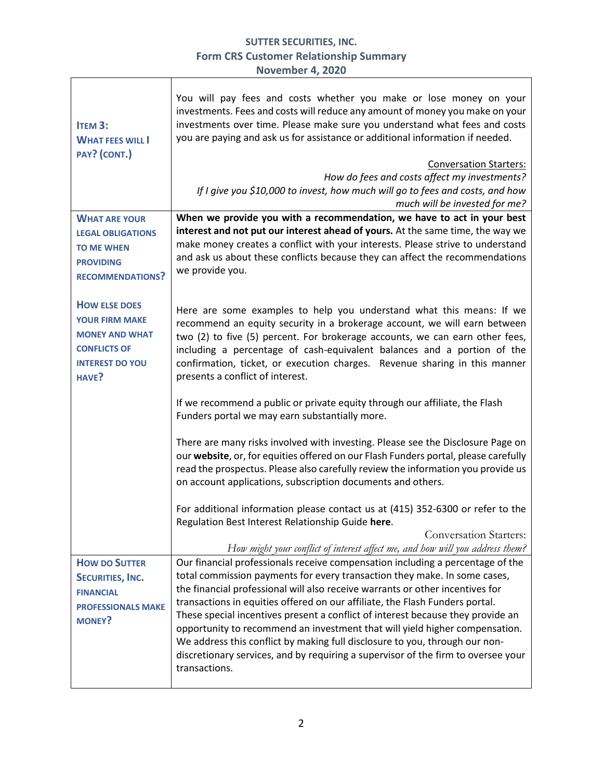## **SUTTER SECURITIES, INC. Form CRS Customer Relationship Summary November 4, 2020**

 $\overline{\phantom{0}}$ 

| <b>ITEM 3:</b><br><b>WHAT FEES WILL I</b><br>PAY? (CONT.)                                                                        | You will pay fees and costs whether you make or lose money on your<br>investments. Fees and costs will reduce any amount of money you make on your<br>investments over time. Please make sure you understand what fees and costs<br>you are paying and ask us for assistance or additional information if needed.<br><b>Conversation Starters:</b><br>How do fees and costs affect my investments?<br>If I give you \$10,000 to invest, how much will go to fees and costs, and how<br>much will be invested for me?                                                                                                                                                                |
|----------------------------------------------------------------------------------------------------------------------------------|-------------------------------------------------------------------------------------------------------------------------------------------------------------------------------------------------------------------------------------------------------------------------------------------------------------------------------------------------------------------------------------------------------------------------------------------------------------------------------------------------------------------------------------------------------------------------------------------------------------------------------------------------------------------------------------|
|                                                                                                                                  |                                                                                                                                                                                                                                                                                                                                                                                                                                                                                                                                                                                                                                                                                     |
| <b>WHAT ARE YOUR</b><br><b>LEGAL OBLIGATIONS</b><br><b>TO ME WHEN</b><br><b>PROVIDING</b><br><b>RECOMMENDATIONS?</b>             | When we provide you with a recommendation, we have to act in your best<br>interest and not put our interest ahead of yours. At the same time, the way we<br>make money creates a conflict with your interests. Please strive to understand<br>and ask us about these conflicts because they can affect the recommendations<br>we provide you.                                                                                                                                                                                                                                                                                                                                       |
| <b>HOW ELSE DOES</b><br><b>YOUR FIRM MAKE</b><br><b>MONEY AND WHAT</b><br><b>CONFLICTS OF</b><br><b>INTEREST DO YOU</b><br>HAVE? | Here are some examples to help you understand what this means: If we<br>recommend an equity security in a brokerage account, we will earn between<br>two (2) to five (5) percent. For brokerage accounts, we can earn other fees,<br>including a percentage of cash-equivalent balances and a portion of the<br>confirmation, ticket, or execution charges. Revenue sharing in this manner<br>presents a conflict of interest.                                                                                                                                                                                                                                                      |
|                                                                                                                                  | If we recommend a public or private equity through our affiliate, the Flash<br>Funders portal we may earn substantially more.                                                                                                                                                                                                                                                                                                                                                                                                                                                                                                                                                       |
|                                                                                                                                  | There are many risks involved with investing. Please see the Disclosure Page on<br>our website, or, for equities offered on our Flash Funders portal, please carefully<br>read the prospectus. Please also carefully review the information you provide us<br>on account applications, subscription documents and others.                                                                                                                                                                                                                                                                                                                                                           |
|                                                                                                                                  | For additional information please contact us at (415) 352-6300 or refer to the<br>Regulation Best Interest Relationship Guide here.                                                                                                                                                                                                                                                                                                                                                                                                                                                                                                                                                 |
|                                                                                                                                  | <b>Conversation Starters:</b><br>How might your conflict of interest affect me, and how will you address them?                                                                                                                                                                                                                                                                                                                                                                                                                                                                                                                                                                      |
| <b>HOW DO SUTTER</b><br><b>SECURITIES, INC.</b><br><b>FINANCIAL</b><br><b>PROFESSIONALS MAKE</b><br>MONEY?                       | Our financial professionals receive compensation including a percentage of the<br>total commission payments for every transaction they make. In some cases,<br>the financial professional will also receive warrants or other incentives for<br>transactions in equities offered on our affiliate, the Flash Funders portal.<br>These special incentives present a conflict of interest because they provide an<br>opportunity to recommend an investment that will yield higher compensation.<br>We address this conflict by making full disclosure to you, through our non-<br>discretionary services, and by requiring a supervisor of the firm to oversee your<br>transactions. |